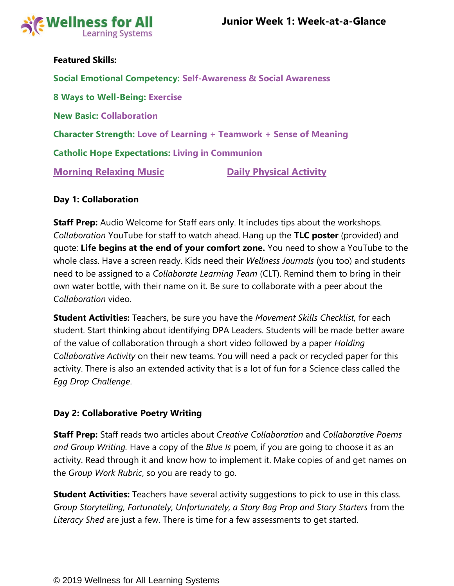

### **Featured Skills:**

**Social Emotional Competency: Self-Awareness & Social Awareness 8 Ways to Well-Being: Exercise New Basic: Collaboration Character Strength: Love of Learning + Teamwork + Sense of Meaning Catholic Hope Expectations: Living in Communion [Morning Relaxing Music](https://www.youtube.com/watch?v=YxfnUPqWV0k) <b>Communist Constructs** Daily Physical Activity

### **Day 1: Collaboration**

**Staff Prep:** Audio Welcome for Staff ears only. It includes tips about the workshops. *Collaboration* YouTube for staff to watch ahead. Hang up the **TLC poster** (provided) and quote: **Life begins at the end of your comfort zone.** You need to show a YouTube to the whole class. Have a screen ready. Kids need their *Wellness Journals* (you too) and students need to be assigned to a *Collaborate Learning Team* (CLT). Remind them to bring in their own water bottle, with their name on it. Be sure to collaborate with a peer about the *Collaboration* video.

**Student Activities:** Teachers, be sure you have the *Movement Skills Checklist,* for each student. Start thinking about identifying DPA Leaders. Students will be made better aware of the value of collaboration through a short video followed by a paper *Holding Collaborative Activity* on their new teams. You will need a pack or recycled paper for this activity. There is also an extended activity that is a lot of fun for a Science class called the *Egg Drop Challenge*.

# **Day 2: Collaborative Poetry Writing**

**Staff Prep:** Staff reads two articles about *Creative Collaboration* and *Collaborative Poems and Group Writing.* Have a copy of the *Blue Is* poem, if you are going to choose it as an activity. Read through it and know how to implement it. Make copies of and get names on the *Group Work Rubric*, so you are ready to go.

**Student Activities:** Teachers have several activity suggestions to pick to use in this class. *Group Storytelling, Fortunately, Unfortunately, a Story Bag Prop and Story Starters* from the *Literacy Shed* are just a few. There is time for a few assessments to get started.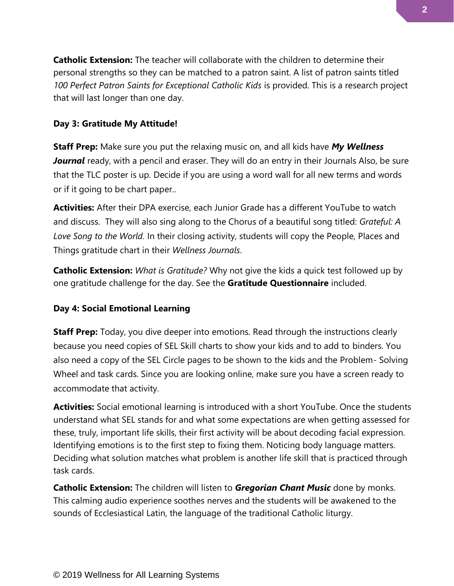**Catholic Extension:** The teacher will collaborate with the children to determine their personal strengths so they can be matched to a patron saint. A list of patron saints titled *100 Perfect Patron Saints for Exceptional Catholic Kids* is provided. This is a research project that will last longer than one day.

# **Day 3: Gratitude My Attitude!**

**Staff Prep:** Make sure you put the relaxing music on, and all kids have *My Wellness*  **Journal** ready, with a pencil and eraser. They will do an entry in their Journals Also, be sure that the TLC poster is up. Decide if you are using a word wall for all new terms and words or if it going to be chart paper..

**Activities:** After their DPA exercise, each Junior Grade has a different YouTube to watch and discuss. They will also sing along to the Chorus of a beautiful song titled: *Grateful: A Love Song to the World.* In their closing activity, students will copy the People, Places and Things gratitude chart in their *Wellness Journals*.

**Catholic Extension:** *What is Gratitude?* Why not give the kids a quick test followed up by one gratitude challenge for the day. See the **Gratitude Questionnaire** included.

# **Day 4: Social Emotional Learning**

**Staff Prep:** Today, you dive deeper into emotions. Read through the instructions clearly because you need copies of SEL Skill charts to show your kids and to add to binders. You also need a copy of the SEL Circle pages to be shown to the kids and the Problem- Solving Wheel and task cards. Since you are looking online, make sure you have a screen ready to accommodate that activity.

**Activities:** Social emotional learning is introduced with a short YouTube. Once the students understand what SEL stands for and what some expectations are when getting assessed for these, truly, important life skills, their first activity will be about decoding facial expression. Identifying emotions is to the first step to fixing them. Noticing body language matters. Deciding what solution matches what problem is another life skill that is practiced through task cards.

**Catholic Extension:** The children will listen to *Gregorian Chant Music* done by monks. This calming audio experience soothes nerves and the students will be awakened to the sounds of Ecclesiastical Latin, the language of the traditional Catholic liturgy.